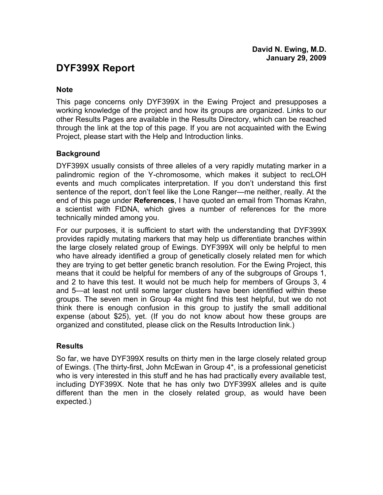# **DYF399X Report**

#### **Note**

This page concerns only DYF399X in the Ewing Project and presupposes a working knowledge of the project and how its groups are organized. Links to our other Results Pages are available in the Results Directory, which can be reached through the link at the top of this page. If you are not acquainted with the Ewing Project, please start with the Help and Introduction links.

# **Background**

DYF399X usually consists of three alleles of a very rapidly mutating marker in a palindromic region of the Y-chromosome, which makes it subject to recLOH events and much complicates interpretation. If you don't understand this first sentence of the report, don't feel like the Lone Ranger—me neither, really. At the end of this page under **References**, I have quoted an email from Thomas Krahn, a scientist with FtDNA, which gives a number of references for the more technically minded among you.

For our purposes, it is sufficient to start with the understanding that DYF399X provides rapidly mutating markers that may help us differentiate branches within the large closely related group of Ewings. DYF399X will only be helpful to men who have already identified a group of genetically closely related men for which they are trying to get better genetic branch resolution. For the Ewing Project, this means that it could be helpful for members of any of the subgroups of Groups 1, and 2 to have this test. It would not be much help for members of Groups 3, 4 and 5—at least not until some larger clusters have been identified within these groups. The seven men in Group 4a might find this test helpful, but we do not think there is enough confusion in this group to justify the small additional expense (about \$25), yet. (If you do not know about how these groups are organized and constituted, please click on the Results Introduction link.)

# **Results**

So far, we have DYF399X results on thirty men in the large closely related group of Ewings. (The thirty-first, John McEwan in Group 4\*, is a professional geneticist who is very interested in this stuff and he has had practically every available test, including DYF399X. Note that he has only two DYF399X alleles and is quite different than the men in the closely related group, as would have been expected.)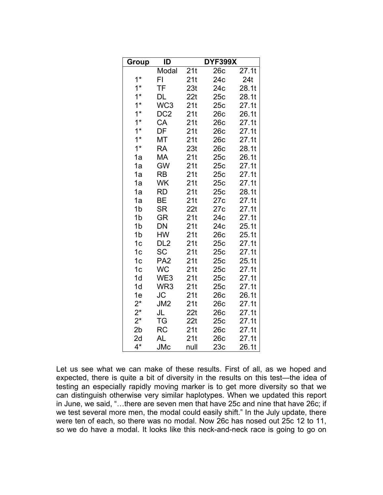| Group          | ID              |      | <b>DYF399X</b> |       |
|----------------|-----------------|------|----------------|-------|
|                | Modal           | 21t  | 26c            | 27.1t |
| $1*$           | FI              | 21t  | 24c            | 24t   |
| $1^*$          | TF              | 23t  | 24c            | 28.1t |
| $1*$           | DL              | 22t  | 25c            | 28.1t |
| $1^*$          | WC <sub>3</sub> | 21t  | 25c            | 27.1t |
| $1*$           | DC <sub>2</sub> | 21t  | 26c            | 26.1t |
| $1*$           | CA              | 21t  | 26c            | 27.1t |
| $1*$           | DF              | 21t  | 26c            | 27.1t |
| $1*$           | МT              | 21t  | 26c            | 27.1t |
| $1*$           | <b>RA</b>       | 23t  | 26c            | 28.1t |
| 1a             | МA              | 21t  | 25с            | 26.1t |
| 1a             | <b>GW</b>       | 21t  | 25c            | 27.1t |
| 1a             | <b>RB</b>       | 21t  | 25c            | 27.1t |
| 1a             | WK              | 21t  | 25c            | 27.1t |
| 1a             | <b>RD</b>       | 21t  | 25c            | 28.1t |
| 1a             | BЕ              | 21t  | 27c            | 27.1t |
| 1b             | <b>SR</b>       | 22t  | 27c            | 27.1t |
| 1 <sub>b</sub> | GR              | 21t  | 24c            | 27.1t |
| 1 <sub>b</sub> | DN              | 21t  | 24c            | 25.1t |
| 1b             | HW              | 21t  | 26c            | 25.1t |
| 1 <sub>c</sub> | DL <sub>2</sub> | 21t  | 25c            | 27.1t |
| 1 <sub>c</sub> | <b>SC</b>       | 21t  | 25c            | 27.1t |
| 1c             | PA <sub>2</sub> | 21t  | 25c            | 25.1t |
| 1 <sub>c</sub> | <b>WC</b>       | 21t  | 25c            | 27.1t |
| 1d             | WE3             | 21t  | 25c            | 27.1t |
| 1 <sub>d</sub> | WR <sub>3</sub> | 21t  | 25c            | 27.1t |
| 1e             | <b>JC</b>       | 21t  | 26c            | 26.1t |
| $2^*$          | JM2             | 21t  | 26c            | 27.1t |
| $2^{\star}$    | JL              | 22t  | 26с            | 27.1t |
| $2^*$          | TG              | 22t  | 25c            | 27.1t |
| 2 <sub>b</sub> | RC              | 21t  | 26c            | 27.1t |
| 2d             | AL              | 21t  | 26c            | 27.1t |
| $4^*$          | <b>JMc</b>      | null | 23c            | 26.1t |

Let us see what we can make of these results. First of all, as we hoped and expected, there is quite a bit of diversity in the results on this test—the idea of testing an especially rapidly moving marker is to get more diversity so that we can distinguish otherwise very similar haplotypes. When we updated this report in June, we said, "…there are seven men that have 25c and nine that have 26c; if we test several more men, the modal could easily shift." In the July update, there were ten of each, so there was no modal. Now 26c has nosed out 25c 12 to 11, so we do have a modal. It looks like this neck-and-neck race is going to go on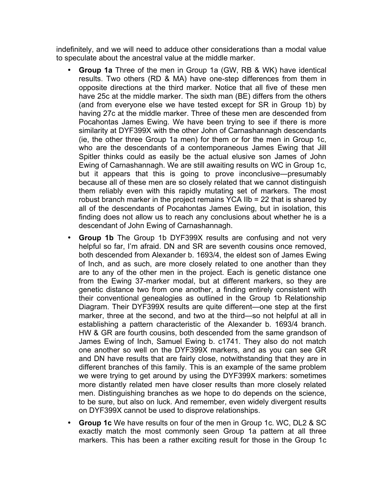indefinitely, and we will need to adduce other considerations than a modal value to speculate about the ancestral value at the middle marker.

- **Group 1a** Three of the men in Group 1a (GW, RB & WK) have identical results. Two others (RD & MA) have one-step differences from them in opposite directions at the third marker. Notice that all five of these men have 25c at the middle marker. The sixth man (BE) differs from the others (and from everyone else we have tested except for SR in Group 1b) by having 27c at the middle marker. Three of these men are descended from Pocahontas James Ewing. We have been trying to see if there is more similarity at DYF399X with the other John of Carnashannagh descendants (ie, the other three Group 1a men) for them or for the men in Group 1c, who are the descendants of a contemporaneous James Ewing that Jill Spitler thinks could as easily be the actual elusive son James of John Ewing of Carnashannagh. We are still awaiting results on WC in Group 1c, but it appears that this is going to prove inconclusive—presumably because all of these men are so closely related that we cannot distinguish them reliably even with this rapidly mutating set of markers. The most robust branch marker in the project remains YCA IIb = 22 that is shared by all of the descendants of Pocahontas James Ewing, but in isolation, this finding does not allow us to reach any conclusions about whether he is a descendant of John Ewing of Carnashannagh.
- **Group 1b** The Group 1b DYF399X results are confusing and not very helpful so far, I'm afraid. DN and SR are seventh cousins once removed, both descended from Alexander b. 1693/4, the eldest son of James Ewing of Inch, and as such, are more closely related to one another than they are to any of the other men in the project. Each is genetic distance one from the Ewing 37-marker modal, but at different markers, so they are genetic distance two from one another, a finding entirely consistent with their conventional genealogies as outlined in the Group 1b Relationship Diagram. Their DYF399X results are quite different—one step at the first marker, three at the second, and two at the third—so not helpful at all in establishing a pattern characteristic of the Alexander b. 1693/4 branch. HW & GR are fourth cousins, both descended from the same grandson of James Ewing of Inch, Samuel Ewing b. c1741. They also do not match one another so well on the DYF399X markers, and as you can see GR and DN have results that are fairly close, notwithstanding that they are in different branches of this family. This is an example of the same problem we were trying to get around by using the DYF399X markers: sometimes more distantly related men have closer results than more closely related men. Distinguishing branches as we hope to do depends on the science, to be sure, but also on luck. And remember, even widely divergent results on DYF399X cannot be used to disprove relationships.
- **Group 1c** We have results on four of the men in Group 1c. WC, DL2 & SC exactly match the most commonly seen Group 1a pattern at all three markers. This has been a rather exciting result for those in the Group 1c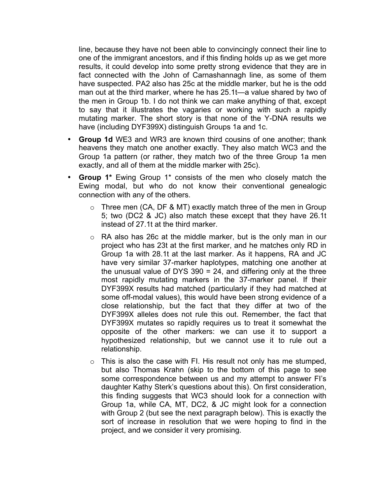line, because they have not been able to convincingly connect their line to one of the immigrant ancestors, and if this finding holds up as we get more results, it could develop into some pretty strong evidence that they are in fact connected with the John of Carnashannagh line, as some of them have suspected. PA2 also has 25c at the middle marker, but he is the odd man out at the third marker, where he has 25.1t—a value shared by two of the men in Group 1b. I do not think we can make anything of that, except to say that it illustrates the vagaries or working with such a rapidly mutating marker. The short story is that none of the Y-DNA results we have (including DYF399X) distinguish Groups 1a and 1c.

- **Group 1d** WE3 and WR3 are known third cousins of one another; thank heavens they match one another exactly. They also match WC3 and the Group 1a pattern (or rather, they match two of the three Group 1a men exactly, and all of them at the middle marker with 25c).
- **Group 1\*** Ewing Group 1\* consists of the men who closely match the Ewing modal, but who do not know their conventional genealogic connection with any of the others.
	- $\circ$  Three men (CA, DF & MT) exactly match three of the men in Group 5; two (DC2 & JC) also match these except that they have 26.1t instead of 27.1t at the third marker.
	- o RA also has 26c at the middle marker, but is the only man in our project who has 23t at the first marker, and he matches only RD in Group 1a with 28.1t at the last marker. As it happens, RA and JC have very similar 37-marker haplotypes, matching one another at the unusual value of DYS 390 = 24, and differing only at the three most rapidly mutating markers in the 37-marker panel. If their DYF399X results had matched (particularly if they had matched at some off-modal values), this would have been strong evidence of a close relationship, but the fact that they differ at two of the DYF399X alleles does not rule this out. Remember, the fact that DYF399X mutates so rapidly requires us to treat it somewhat the opposite of the other markers: we can use it to support a hypothesized relationship, but we cannot use it to rule out a relationship.
	- $\circ$  This is also the case with FI. His result not only has me stumped, but also Thomas Krahn (skip to the bottom of this page to see some correspondence between us and my attempt to answer FI's daughter Kathy Sterk's questions about this). On first consideration, this finding suggests that WC3 should look for a connection with Group 1a, while CA, MT, DC2, & JC might look for a connection with Group 2 (but see the next paragraph below). This is exactly the sort of increase in resolution that we were hoping to find in the project, and we consider it very promising.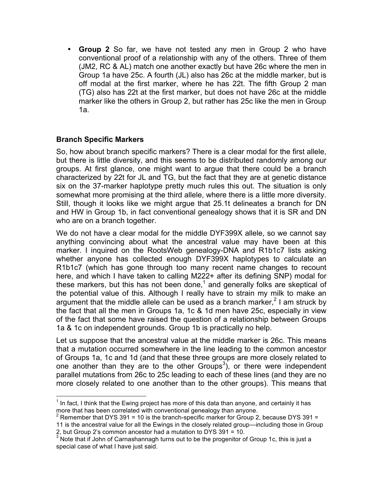• **Group 2** So far, we have not tested any men in Group 2 who have conventional proof of a relationship with any of the others. Three of them (JM2, RC & AL) match one another exactly but have 26c where the men in Group 1a have 25c. A fourth (JL) also has 26c at the middle marker, but is off modal at the first marker, where he has 22t. The fifth Group 2 man (TG) also has 22t at the first marker, but does not have 26c at the middle marker like the others in Group 2, but rather has 25c like the men in Group 1a.

# **Branch Specific Markers**

So, how about branch specific markers? There is a clear modal for the first allele, but there is little diversity, and this seems to be distributed randomly among our groups. At first glance, one might want to argue that there could be a branch characterized by 22t for JL and TG, but the fact that they are at genetic distance six on the 37-marker haplotype pretty much rules this out. The situation is only somewhat more promising at the third allele, where there is a little more diversity. Still, though it looks like we might argue that 25.1t delineates a branch for DN and HW in Group 1b, in fact conventional genealogy shows that it is SR and DN who are on a branch together.

We do not have a clear modal for the middle DYF399X allele, so we cannot say anything convincing about what the ancestral value may have been at this marker. I inquired on the RootsWeb genealogy-DNA and R1b1c7 lists asking whether anyone has collected enough DYF399X haplotypes to calculate an R1b1c7 (which has gone through too many recent name changes to recount here, and which I have taken to calling M222+ after its defining SNP) modal for these markers, but this has not been done, $1$  and generally folks are skeptical of the potential value of this. Although I really have to strain my milk to make an argument that the middle allele can be used as a branch marker,<sup>2</sup> I am struck by the fact that all the men in Groups 1a, 1c & 1d men have 25c, especially in view of the fact that some have raised the question of a relationship between Groups 1a & 1c on independent grounds. Group 1b is practically no help.

Let us suppose that the ancestral value at the middle marker is 26c. This means that a mutation occurred somewhere in the line leading to the common ancestor of Groups 1a, 1c and 1d (and that these three groups are more closely related to one another than they are to the other Groups<sup>3</sup>), or there were independent parallel mutations from 26c to 25c leading to each of these lines (and they are no more closely related to one another than to the other groups). This means that

 $1$  In fact, I think that the Ewing project has more of this data than anyone, and certainly it has more that has been correlated with conventional genealogy than anyone.

<sup>&</sup>lt;sup>2</sup> Remember that DYS 391 = 10 is the branch-specific marker for Group 2, because DYS 391 =

<sup>11</sup> is the ancestral value for all the Ewings in the closely related group—including those in Group 2, but Group 2's common ancestor had a mutation to DYS 391 = 10.

 $3$  Note that if John of Carnashannagh turns out to be the progenitor of Group 1c, this is just a special case of what I have just said.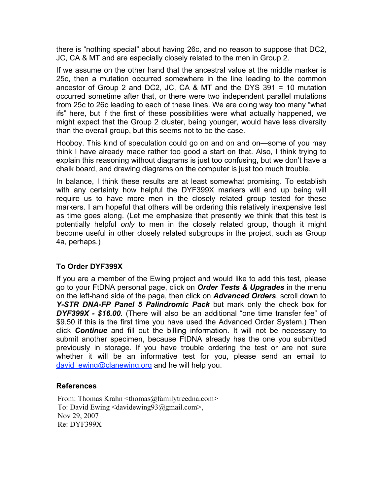there is "nothing special" about having 26c, and no reason to suppose that DC2, JC, CA & MT and are especially closely related to the men in Group 2.

If we assume on the other hand that the ancestral value at the middle marker is 25c, then a mutation occurred somewhere in the line leading to the common ancestor of Group 2 and DC2, JC, CA & MT and the DYS 391 = 10 mutation occurred sometime after that, or there were two independent parallel mutations from 25c to 26c leading to each of these lines. We are doing way too many "what ifs" here, but if the first of these possibilities were what actually happened, we might expect that the Group 2 cluster, being younger, would have less diversity than the overall group, but this seems not to be the case.

Hooboy. This kind of speculation could go on and on and on—some of you may think I have already made rather too good a start on that. Also, I think trying to explain this reasoning without diagrams is just too confusing, but we don't have a chalk board, and drawing diagrams on the computer is just too much trouble.

In balance, I think these results are at least somewhat promising. To establish with any certainty how helpful the DYF399X markers will end up being will require us to have more men in the closely related group tested for these markers. I am hopeful that others will be ordering this relatively inexpensive test as time goes along. (Let me emphasize that presently we think that this test is potentially helpful *only* to men in the closely related group, though it might become useful in other closely related subgroups in the project, such as Group 4a, perhaps.)

# **To Order DYF399X**

If you are a member of the Ewing project and would like to add this test, please go to your FtDNA personal page, click on *Order Tests & Upgrades* in the menu on the left-hand side of the page, then click on *Advanced Orders*, scroll down to *Y-STR DNA-FP Panel 5 Palindromic Pack* but mark only the check box for *DYF399X - \$16.00*. (There will also be an additional "one time transfer fee" of \$9.50 if this is the first time you have used the Advanced Order System.) Then click *Continue* and fill out the billing information. It will not be necessary to submit another specimen, because FtDNA already has the one you submitted previously in storage. If you have trouble ordering the test or are not sure whether it will be an informative test for you, please send an email to david ewing@clanewing.org and he will help you.

# **References**

From: Thomas Krahn <thomas@familytreedna.com> To: David Ewing <davidewing93@gmail.com>, Nov 29, 2007 Re: DYF399X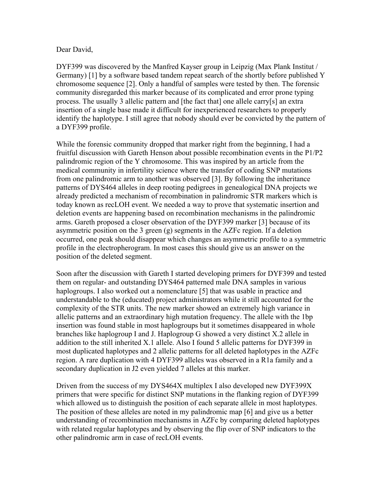#### Dear David,

DYF399 was discovered by the Manfred Kayser group in Leipzig (Max Plank Institut / Germany) [1] by a software based tandem repeat search of the shortly before published Y chromosome sequence [2]. Only a handful of samples were tested by then. The forensic community disregarded this marker because of its complicated and error prone typing process. The usually 3 allelic pattern and [the fact that] one allele carry[s] an extra insertion of a single base made it difficult for inexperienced researchers to properly identify the haplotype. I still agree that nobody should ever be convicted by the pattern of a DYF399 profile.

While the forensic community dropped that marker right from the beginning, I had a fruitful discussion with Gareth Henson about possible recombination events in the P1/P2 palindromic region of the Y chromosome. This was inspired by an article from the medical community in infertility science where the transfer of coding SNP mutations from one palindromic arm to another was observed [3]. By following the inheritance patterns of DYS464 alleles in deep rooting pedigrees in genealogical DNA projects we already predicted a mechanism of recombination in palindromic STR markers which is today known as recLOH event. We needed a way to prove that systematic insertion and deletion events are happening based on recombination mechanisms in the palindromic arms. Gareth proposed a closer observation of the DYF399 marker [3] because of its asymmetric position on the 3 green (g) segments in the AZFc region. If a deletion occurred, one peak should disappear which changes an asymmetric profile to a symmetric profile in the electropherogram. In most cases this should give us an answer on the position of the deleted segment.

Soon after the discussion with Gareth I started developing primers for DYF399 and tested them on regular- and outstanding DYS464 patterned male DNA samples in various haplogroups. I also worked out a nomenclature [5] that was usable in practice and understandable to the (educated) project administrators while it still accounted for the complexity of the STR units. The new marker showed an extremely high variance in allelic patterns and an extraordinary high mutation frequency. The allele with the 1bp insertion was found stable in most haplogroups but it sometimes disappeared in whole branches like haplogroup I and J. Haplogroup G showed a very distinct X.2 allele in addition to the still inherited X.1 allele. Also I found 5 allelic patterns for DYF399 in most duplicated haplotypes and 2 allelic patterns for all deleted haplotypes in the AZFc region. A rare duplication with 4 DYF399 alleles was observed in a R1a family and a secondary duplication in J2 even yielded 7 alleles at this marker.

Driven from the success of my DYS464X multiplex I also developed new DYF399X primers that were specific for distinct SNP mutations in the flanking region of DYF399 which allowed us to distinguish the position of each separate allele in most haplotypes. The position of these alleles are noted in my palindromic map [6] and give us a better understanding of recombination mechanisms in AZFc by comparing deleted haplotypes with related regular haplotypes and by observing the flip over of SNP indicators to the other palindromic arm in case of recLOH events.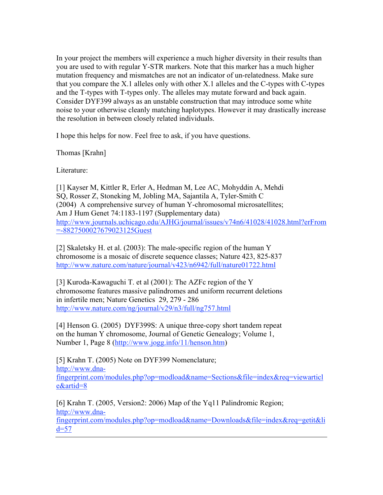In your project the members will experience a much higher diversity in their results than you are used to with regular Y-STR markers. Note that this marker has a much higher mutation frequency and mismatches are not an indicator of un-relatedness. Make sure that you compare the X.1 alleles only with other X.1 alleles and the C-types with C-types and the T-types with T-types only. The alleles may mutate forward and back again. Consider DYF399 always as an unstable construction that may introduce some white noise to your otherwise cleanly matching haplotypes. However it may drastically increase the resolution in between closely related individuals.

I hope this helps for now. Feel free to ask, if you have questions.

Thomas [Krahn]

Literature:

[1] Kayser M, Kittler R, Erler A, Hedman M, Lee AC, Mohyddin A, Mehdi SQ, Rosser Z, Stoneking M, Jobling MA, Sajantila A, Tyler-Smith C (2004) A comprehensive survey of human Y-chromosomal microsatellites; Am J Hum Genet 74:1183-1197 (Supplementary data) http://www.journals.uchicago.edu/AJHG/journal/issues/v74n6/41028/41028.html?erFrom =-8827500027679023125Guest

[2] Skaletsky H. et al. (2003): The male-specific region of the human Y chromosome is a mosaic of discrete sequence classes; Nature 423, 825-837 http://www.nature.com/nature/journal/v423/n6942/full/nature01722.html

[3] Kuroda-Kawaguchi T. et al (2001): The AZFc region of the Y chromosome features massive palindromes and uniform recurrent deletions in infertile men; Nature Genetics 29, 279 - 286 http://www.nature.com/ng/journal/v29/n3/full/ng757.html

[4] Henson G. (2005) DYF399S: A unique three-copy short tandem repeat on the human Y chromosome, Journal of Genetic Genealogy; Volume 1, Number 1, Page 8 (http://www.jogg.info/11/henson.htm)

[5] Krahn T. (2005) Note on DYF399 Nomenclature; http://www.dnafingerprint.com/modules.php?op=modload&name=Sections&file=index&req=viewarticl e&artid=8

[6] Krahn T. (2005, Version2: 2006) Map of the Yq11 Palindromic Region; http://www.dnafingerprint.com/modules.php?op=modload&name=Downloads&file=index&req=getit&li  $d=57$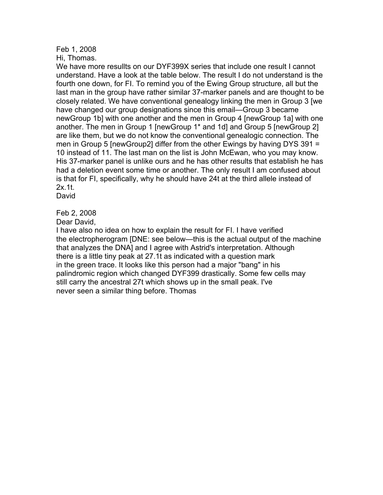# Feb 1, 2008

Hi, Thomas.

We have more resullts on our DYF399X series that include one result I cannot understand. Have a look at the table below. The result I do not understand is the fourth one down, for FI. To remind you of the Ewing Group structure, all but the last man in the group have rather similar 37-marker panels and are thought to be closely related. We have conventional genealogy linking the men in Group 3 [we have changed our group designations since this email—Group 3 became newGroup 1b] with one another and the men in Group 4 [newGroup 1a] with one another. The men in Group 1 [newGroup 1\* and 1d] and Group 5 [newGroup 2] are like them, but we do not know the conventional genealogic connection. The men in Group 5 [newGroup2] differ from the other Ewings by having DYS 391 = 10 instead of 11. The last man on the list is John McEwan, who you may know. His 37-marker panel is unlike ours and he has other results that establish he has had a deletion event some time or another. The only result I am confused about is that for FI, specifically, why he should have 24t at the third allele instead of 2x.1t.

David

Feb 2, 2008

Dear David,

I have also no idea on how to explain the result for FI. I have verified the electropherogram [DNE: see below—this is the actual output of the machine that analyzes the DNA] and I agree with Astrid's interpretation. Although there is a little tiny peak at 27.1t as indicated with a question mark in the green trace. It looks like this person had a major "bang" in his palindromic region which changed DYF399 drastically. Some few cells may still carry the ancestral 27t which shows up in the small peak. I've never seen a similar thing before. Thomas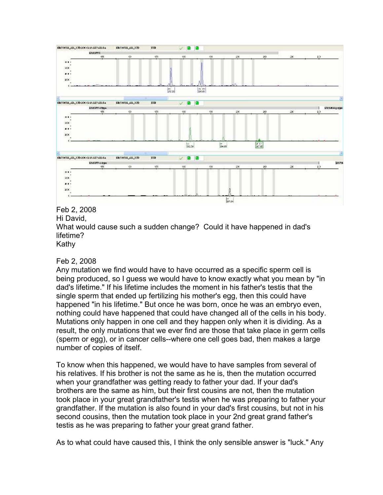

Hi David, What would cause such a sudden change? Could it have happened in dad's lifetime? Kathy

# Feb 2, 2008

Any mutation we find would have to have occurred as a specific sperm cell is being produced, so I guess we would have to know exactly what you mean by "in dad's lifetime." If his lifetime includes the moment in his father's testis that the single sperm that ended up fertilizing his mother's egg, then this could have happened "in his lifetime." But once he was born, once he was an embryo even, nothing could have happened that could have changed all of the cells in his body. Mutations only happen in one cell and they happen only when it is dividing. As a result, the only mutations that we ever find are those that take place in germ cells (sperm or egg), or in cancer cells--where one cell goes bad, then makes a large number of copies of itself.

To know when this happened, we would have to have samples from several of his relatives. If his brother is not the same as he is, then the mutation occurred when your grandfather was getting ready to father your dad. If your dad's brothers are the same as him, but their first cousins are not, then the mutation took place in your great grandfather's testis when he was preparing to father your grandfather. If the mutation is also found in your dad's first cousins, but not in his second cousins, then the mutation took place in your 2nd great grand father's testis as he was preparing to father your great grand father.

As to what could have caused this, I think the only sensible answer is "luck." Any